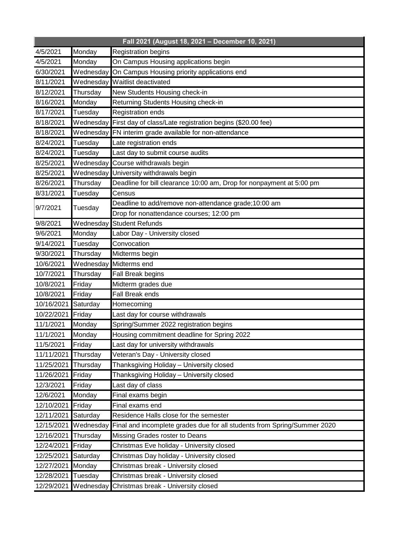| Fall 2021 (August 18, 2021 - December 10, 2021) |           |                                                                          |
|-------------------------------------------------|-----------|--------------------------------------------------------------------------|
| 4/5/2021                                        | Monday    | <b>Registration begins</b>                                               |
| 4/5/2021                                        | Monday    | On Campus Housing applications begin                                     |
| 6/30/2021                                       |           | Wednesday On Campus Housing priority applications end                    |
| 8/11/2021                                       |           | Wednesday Waitlist deactivated                                           |
| 8/12/2021                                       | Thursday  | New Students Housing check-in                                            |
| 8/16/2021                                       | Monday    | Returning Students Housing check-in                                      |
| 8/17/2021                                       | Tuesday   | Registration ends                                                        |
| 8/18/2021                                       |           | Wednesday First day of class/Late registration begins (\$20.00 fee)      |
| 8/18/2021                                       |           | Wednesday FN interim grade available for non-attendance                  |
| 8/24/2021                                       | Tuesday   | Late registration ends                                                   |
| 8/24/2021                                       | Tuesday   | Last day to submit course audits                                         |
| 8/25/2021                                       | Wednesday | Course withdrawals begin                                                 |
| 8/25/2021                                       |           | Wednesday University withdrawals begin                                   |
| 8/26/2021                                       | Thursday  | Deadline for bill clearance 10:00 am, Drop for nonpayment at 5:00 pm     |
| 8/31/2021                                       | Tuesday   | Census                                                                   |
| 9/7/2021                                        | Tuesday   | Deadline to add/remove non-attendance grade;10:00 am                     |
|                                                 |           | Drop for nonattendance courses; 12:00 pm                                 |
| 9/8/2021                                        | Wednesday | <b>Student Refunds</b>                                                   |
| 9/6/2021                                        | Monday    | Labor Day - University closed                                            |
| 9/14/2021                                       | Tuesday   | Convocation                                                              |
| 9/30/2021                                       | Thursday  | Midterms begin                                                           |
| 10/6/2021                                       | Wednesday | Midterms end                                                             |
| 10/7/2021                                       | Thursday  | Fall Break begins                                                        |
| 10/8/2021                                       | Friday    | Midterm grades due                                                       |
| 10/8/2021                                       | Friday    | Fall Break ends                                                          |
| 10/16/2021                                      | Saturday  | Homecoming                                                               |
| 10/22/2021                                      | Friday    | Last day for course withdrawals                                          |
| 11/1/2021                                       | Monday    | Spring/Summer 2022 registration begins                                   |
| 11/1/2021                                       | Monday    | Housing commitment deadline for Spring 2022                              |
| 11/5/2021                                       | Friday    | Last day for university withdrawals                                      |
| 11/11/2021                                      | Thursday  | Veteran's Day - University closed                                        |
| 11/25/2021                                      | Thursday  | Thanksgiving Holiday - University closed                                 |
| 11/26/2021                                      | Friday    | Thanksgiving Holiday - University closed                                 |
| 12/3/2021                                       | Friday    | Last day of class                                                        |
| 12/6/2021                                       | Monday    | Final exams begin                                                        |
| 12/10/2021                                      | Friday    | Final exams end                                                          |
| 12/11/2021                                      | Saturday  | Residence Halls close for the semester                                   |
| 12/15/2021                                      | Wednesday | Final and incomplete grades due for all students from Spring/Summer 2020 |
| 12/16/2021                                      | Thursday  | Missing Grades roster to Deans                                           |
| 12/24/2021                                      | Friday    | Christmas Eve holiday - University closed                                |
| 12/25/2021                                      | Saturday  | Christmas Day holiday - University closed                                |
| 12/27/2021                                      | Monday    | Christmas break - University closed                                      |
| 12/28/2021                                      | Tuesday   | Christmas break - University closed                                      |
| 12/29/2021                                      | Wednesday | Christmas break - University closed                                      |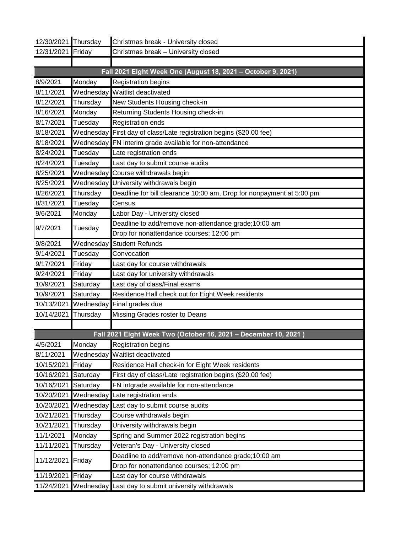| 12/30/2021 Thursday |                         | Christmas break - University closed                                  |
|---------------------|-------------------------|----------------------------------------------------------------------|
| 12/31/2021          | Friday                  | Christmas break - University closed                                  |
|                     |                         |                                                                      |
|                     |                         | Fall 2021 Eight Week One (August 18, 2021 - October 9, 2021)         |
| 8/9/2021            | Monday                  | <b>Registration begins</b>                                           |
| 8/11/2021           |                         | Wednesday Waitlist deactivated                                       |
| 8/12/2021           | Thursday                | New Students Housing check-in                                        |
| 8/16/2021           | Monday                  | Returning Students Housing check-in                                  |
| 8/17/2021           | Tuesday                 | Registration ends                                                    |
| 8/18/2021           |                         | Wednesday First day of class/Late registration begins (\$20.00 fee)  |
| 8/18/2021           |                         | Wednesday FN interim grade available for non-attendance              |
| 8/24/2021           | Tuesday                 | ate registration ends                                                |
| 8/24/2021           | Tuesday                 | Last day to submit course audits                                     |
| 8/25/2021           |                         | Wednesday Course withdrawals begin                                   |
| 8/25/2021           |                         | Wednesday University withdrawals begin                               |
| 8/26/2021           | Thursday                | Deadline for bill clearance 10:00 am, Drop for nonpayment at 5:00 pm |
| 8/31/2021           | Tuesday                 | Census                                                               |
| 9/6/2021            | Monday                  | Labor Day - University closed                                        |
| 9/7/2021            | Tuesday                 | Deadline to add/remove non-attendance grade;10:00 am                 |
|                     |                         | Drop for nonattendance courses; 12:00 pm                             |
| 9/8/2021            | Wednesday               | <b>Student Refunds</b>                                               |
| 9/14/2021           | Tuesday                 | Convocation                                                          |
| 9/17/2021           | Friday                  | ast day for course withdrawals                                       |
| 9/24/2021           | Friday                  | ast day for university withdrawals                                   |
| 10/9/2021           | Saturday                | ast day of class/Final exams                                         |
| 10/9/2021           | Saturday                | Residence Hall check out for Eight Week residents                    |
| 10/13/2021          | Wednesday               | Final grades due                                                     |
| 10/14/2021          | Thursday                | Missing Grades roster to Deans                                       |
|                     |                         |                                                                      |
|                     |                         | Fall 2021 Eight Week Two (October 16, 2021 - December 10, 2021)      |
| 4/5/2021            | Monday                  | <b>Registration begins</b>                                           |
| 8/11/2021           |                         | Wednesday Waitlist deactivated                                       |
| 10/15/2021          | Friday                  | Residence Hall check-in for Eight Week residents                     |
| 10/16/2021          | Saturday                | First day of class/Late registration begins (\$20.00 fee)            |
| 10/16/2021          | Saturday                | FN intgrade available for non-attendance                             |
| 10/20/2021          |                         | Wednesday Late registration ends                                     |
| 10/20/2021          | Wednesday <sup>IL</sup> | ast day to submit course audits                                      |
| 10/21/2021          | Thursday                | Course withdrawals begin                                             |
| 10/21/2021          | Thursday                | University withdrawals begin                                         |
| 11/1/2021           | Monday                  | Spring and Summer 2022 registration begins                           |
| 11/11/2021          | Thursday                | Veteran's Day - University closed                                    |
| 11/12/2021          | Friday                  | Deadline to add/remove non-attendance grade;10:00 am                 |
|                     |                         | Drop for nonattendance courses; 12:00 pm                             |
| 11/19/2021          | Friday                  | ast day for course withdrawals                                       |
| 11/24/2021          | Wednesday <sup>IL</sup> | ast day to submit university withdrawals                             |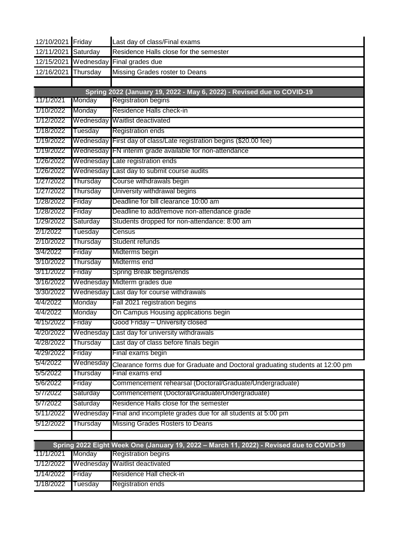| 12/10/2021 Friday |           | Last day of class/Final exams                                                            |
|-------------------|-----------|------------------------------------------------------------------------------------------|
| 12/11/2021        | Saturday  | Residence Halls close for the semester                                                   |
| 12/15/2021        | Wednesday | Final grades due                                                                         |
| 12/16/2021        | Thursday  | Missing Grades roster to Deans                                                           |
|                   |           |                                                                                          |
|                   |           | Spring 2022 (January 19, 2022 - May 6, 2022) - Revised due to COVID-19                   |
| 11/1/2021         | Monday    | <b>Registration begins</b>                                                               |
| 1/10/2022         | Monday    | Residence Halls check-in                                                                 |
| 1/12/2022         |           | Wednesday Waitlist deactivated                                                           |
| 1/18/2022         | Tuesday   | <b>Registration ends</b>                                                                 |
| 1/19/2022         |           | Wednesday First day of class/Late registration begins (\$20.00 fee)                      |
| 1/19/2022         | Wednesday | FN interim grade available for non-attendance                                            |
| 1/26/2022         |           | Wednesday Late registration ends                                                         |
| 1/26/2022         | Wednesday | Last day to submit course audits                                                         |
| 1/27/2022         | Thursday  | Course withdrawals begin                                                                 |
| 1/27/2022         | Thursday  | University withdrawal begins                                                             |
| 1/28/2022         | Friday    | Deadline for bill clearance 10:00 am                                                     |
| 1/28/2022         | Friday    | Deadline to add/remove non-attendance grade                                              |
| 1/29/2022         | Saturday  | Students dropped for non-attendance: 8:00 am                                             |
| 2/1/2022          | Tuesday   | Census                                                                                   |
| 2/10/2022         | Thursday  | Student refunds                                                                          |
| 3/4/2022          | Friday    | Midterms begin                                                                           |
| 3/10/2022         | Thursday  | Midterms end                                                                             |
| 3/11/2022         | Friday    | Spring Break begins/ends                                                                 |
| 3/16/2022         |           | Wednesday Midterm grades due                                                             |
| 3/30/2022         | Wednesday | Last day for course withdrawals                                                          |
| 4/4/2022          | Monday    | Fall 2021 registration begins                                                            |
| 4/4/2022          | Monday    | On Campus Housing applications begin                                                     |
| 4/15/2022         | Friday    | Good Friday – University closed                                                          |
| 4/20/2022         | Wednesday | Last day for university withdrawals                                                      |
| 4/28/2022         | Thursday  | Last day of class before finals begin                                                    |
| 4/29/2022         | Friday    | Final exams begin                                                                        |
| 5/4/2022          | Wednesday | Clearance forms due for Graduate and Doctoral graduating students at 12:00 pm            |
| 5/5/2022          | Thursday  | Final exams end                                                                          |
| 5/6/2022          | Friday    | Commencement rehearsal (Doctoral/Graduate/Undergraduate)                                 |
| 5/7/2022          | Saturday  | Commencement (Doctoral/Graduate/Undergraduate)                                           |
| 5/7/2022          | Saturday  | Residence Halls close for the semester                                                   |
| 5/11/2022         | Wednesday | Final and incomplete grades due for all students at 5:00 pm                              |
| 5/12/2022         | Thursday  | Missing Grades Rosters to Deans                                                          |
|                   |           |                                                                                          |
|                   |           | Spring 2022 Eight Week One (January 19, 2022 - March 11, 2022) - Revised due to COVID-19 |
| 11/1/2021         | Monday    | <b>Registration begins</b>                                                               |
| 1/12/2022         |           | Wednesday Waitlist deactivated                                                           |
| 1/14/2022         | Friday    | Residence Hall check-in                                                                  |
| 1/18/2022         | Tuesday   | Registration ends                                                                        |
|                   |           |                                                                                          |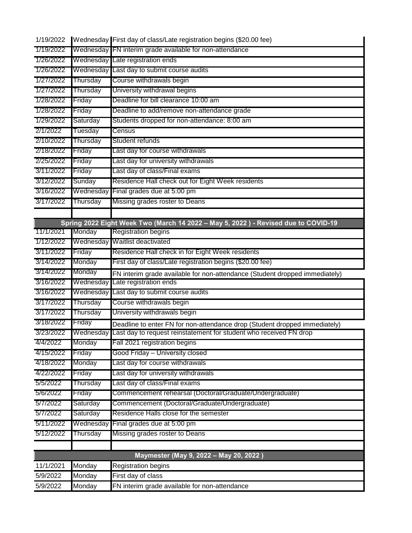| 1/19/2022 |           | Wednesday First day of class/Late registration begins (\$20.00 fee)                |
|-----------|-----------|------------------------------------------------------------------------------------|
| 1/19/2022 |           | Wednesday FN interim grade available for non-attendance                            |
| 1/26/2022 |           | Wednesday Late registration ends                                                   |
| 1/26/2022 | Wednesday | Last day to submit course audits                                                   |
| 1/27/2022 | Thursday  | Course withdrawals begin                                                           |
| 1/27/2022 | Thursday  | University withdrawal begins                                                       |
| 1/28/2022 | Friday    | Deadline for bill clearance 10:00 am                                               |
| 1/28/2022 | Friday    | Deadline to add/remove non-attendance grade                                        |
| 1/29/2022 | Saturday  | Students dropped for non-attendance: 8:00 am                                       |
| 2/1/2022  | Tuesday   | Census                                                                             |
| 2/10/2022 | Thursday  | Student refunds                                                                    |
| 2/18/2022 | Friday    | Last day for course withdrawals                                                    |
| 2/25/2022 | Friday    | Last day for university withdrawals                                                |
| 3/11/2022 | Friday    | Last day of class/Final exams                                                      |
| 3/12/2022 | Sunday    | Residence Hall check out for Eight Week residents                                  |
| 3/16/2022 | Wednesday | Final grades due at 5:00 pm                                                        |
| 3/17/2022 | Thursday  | Missing grades roster to Deans                                                     |
|           |           |                                                                                    |
|           |           | Spring 2022 Eight Week Two (March 14 2022 - May 5, 2022) - Revised due to COVID-19 |
| 11/1/2021 | Monday    | <b>Registration begins</b>                                                         |
| 1/12/2022 |           | Wednesday Waitlist deactivated                                                     |
| 3/11/2022 | Friday    | Residence Hall check in for Eight Week residents                                   |
| 3/14/2022 | Monday    | First day of class/Late registration begins (\$20.00 fee)                          |
| 3/14/2022 | Monday    | FN interim grade available for non-attendance (Student dropped immediately)        |
| 3/16/2022 | Wednesday | Late registration ends                                                             |
| 3/16/2022 | Wednesday | Last day to submit course audits                                                   |
| 3/17/2022 | Thursday  | Course withdrawals begin                                                           |
| 3/17/2022 | Thursday  | University withdrawals begin                                                       |
| 3/18/2022 | Friday    | Deadline to enter FN for non-attendance drop (Student dropped immediately)         |
| 3/23/2022 | Wednesday | Last day to request reinstatement for student who received FN drop                 |
| 4/4/2022  | Monday    | Fall 2021 registration begins                                                      |
| 4/15/2022 | Friday    | Good Friday – University closed                                                    |
| 4/18/2022 | Monday    | Last day for course withdrawals                                                    |
| 4/22/2022 | Friday    | Last day for university withdrawals                                                |
| 5/5/2022  | Thursday  | Last day of class/Final exams                                                      |
| 5/6/2022  | Friday    | Commencement rehearsal (Doctoral/Graduate/Undergraduate)                           |
| 5/7/2022  | Saturday  | Commencement (Doctoral/Graduate/Undergraduate)                                     |
| 5/7/2022  | Saturday  | Residence Halls close for the semester                                             |
| 5/11/2022 | Wednesday | Final grades due at 5:00 pm                                                        |
| 5/12/2022 | Thursday  | Missing grades roster to Deans                                                     |
|           |           |                                                                                    |
|           |           | Maymester (May 9, 2022 - May 20, 2022)                                             |
| 11/1/2021 | Monday    | <b>Registration begins</b>                                                         |
| 5/9/2022  | Monday    | First day of class                                                                 |
| 5/9/2022  | Monday    | FN interim grade available for non-attendance                                      |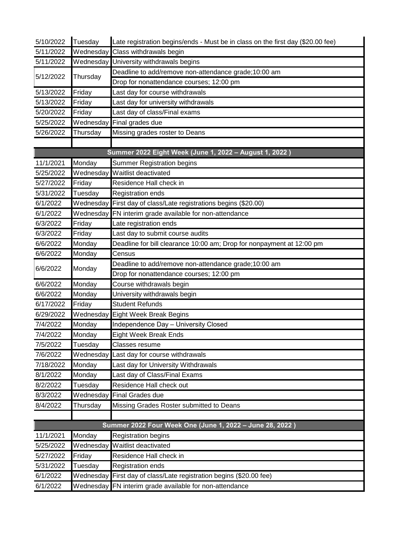| 5/10/2022 | Tuesday   | Late registration begins/ends - Must be in class on the first day (\$20.00 fee) |
|-----------|-----------|---------------------------------------------------------------------------------|
| 5/11/2022 | Wednesday | Class withdrawals begin                                                         |
| 5/11/2022 |           | Wednesday University withdrawals begins                                         |
| 5/12/2022 |           | Deadline to add/remove non-attendance grade;10:00 am                            |
|           | Thursday  | Drop for nonattendance courses; 12:00 pm                                        |
| 5/13/2022 | Friday    | Last day for course withdrawals                                                 |
| 5/13/2022 | Friday    | Last day for university withdrawals                                             |
| 5/20/2022 | Friday    | Last day of class/Final exams                                                   |
| 5/25/2022 |           | Wednesday Final grades due                                                      |
| 5/26/2022 | Thursday  | Missing grades roster to Deans                                                  |
|           |           |                                                                                 |
|           |           | Summer 2022 Eight Week (June 1, 2022 - August 1, 2022)                          |
| 11/1/2021 | Monday    | <b>Summer Registration begins</b>                                               |
| 5/25/2022 |           | Wednesday Waitlist deactivated                                                  |
| 5/27/2022 | Friday    | Residence Hall check in                                                         |
| 5/31/2022 | Tuesday   | <b>Registration ends</b>                                                        |
| 6/1/2022  |           | Wednesday First day of class/Late registrations begins (\$20.00)                |
| 6/1/2022  |           | Wednesday FN interim grade available for non-attendance                         |
| 6/3/2022  | Friday    | Late registration ends                                                          |
| 6/3/2022  | Friday    | Last day to submit course audits                                                |
| 6/6/2022  | Monday    | Deadline for bill clearance 10:00 am; Drop for nonpayment at 12:00 pm           |
| 6/6/2022  | Monday    | Census                                                                          |
| 6/6/2022  | Monday    | Deadline to add/remove non-attendance grade;10:00 am                            |
|           |           | Drop for nonattendance courses; 12:00 pm                                        |
| 6/6/2022  | Monday    | Course withdrawals begin                                                        |
| 6/6/2022  | Monday    | University withdrawals begin                                                    |
| 6/17/2022 | Friday    | <b>Student Refunds</b>                                                          |
| 6/29/2022 |           | Wednesday Eight Week Break Begins                                               |
| 7/4/2022  | Monday    | Independence Day - University Closed                                            |
| 7/4/2022  | Monday    | <b>Eight Week Break Ends</b>                                                    |
| 7/5/2022  | Tuesday   | Classes resume                                                                  |
| 7/6/2022  | Wednesday | Last day for course withdrawals                                                 |
| 7/18/2022 | Monday    | Last day for University Withdrawals                                             |
| 8/1/2022  | Monday    | Last day of Class/Final Exams                                                   |
| 8/2/2022  | Tuesday   | Residence Hall check out                                                        |
| 8/3/2022  | Wednesday | <b>Final Grades due</b>                                                         |
| 8/4/2022  | Thursday  | Missing Grades Roster submitted to Deans                                        |
|           |           |                                                                                 |
|           |           | Summer 2022 Four Week One (June 1, 2022 - June 28, 2022)                        |
| 11/1/2021 | Monday    | <b>Registration begins</b>                                                      |
| 5/25/2022 |           | Wednesday Waitlist deactivated                                                  |
| 5/27/2022 | Friday    | Residence Hall check in                                                         |
| 5/31/2022 | Tuesday   | Registration ends                                                               |
| 6/1/2022  |           | Wednesday First day of class/Late registration begins (\$20.00 fee)             |
| 6/1/2022  |           | Wednesday FN interim grade available for non-attendance                         |